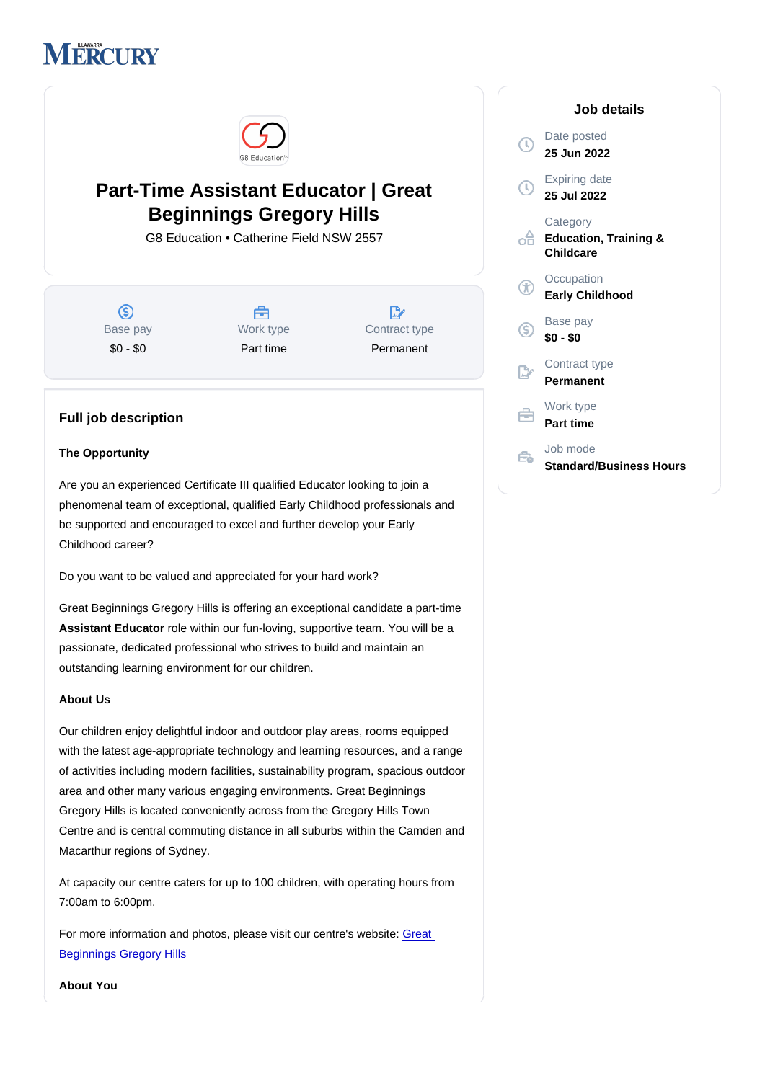# Part-Time Assistant Educator | Great Beginnings Gregory Hills

G8 Education • Catherine Field NSW 2557

Base pay \$0 - \$0

Work type Part time

Contract type Permanent

# Full job description

#### The Opportunity

Are you an experienced Certificate III qualified Educator looking to join a phenomenal team of exceptional, qualified Early Childhood professionals and be supported and encouraged to excel and further develop your Early Childhood career?

Do you want to be valued and appreciated for your hard work?

Great Beginnings Gregory Hills is offering an exceptional candidate a part-time Assistant Educator role within our fun-loving, supportive team. You will be a passionate, dedicated professional who strives to build and maintain an outstanding learning environment for our children.

#### About Us

Our children enjoy delightful indoor and outdoor play areas, rooms equipped with the latest age-appropriate technology and learning resources, and a range of activities including modern facilities, sustainability program, spacious outdoor area and other many various engaging environments. Great Beginnings Gregory Hills is located conveniently across from the Gregory Hills Town Centre and is central commuting distance in all suburbs within the Camden and Macarthur regions of Sydney.

At capacity our centre caters for up to 100 children, with operating hours from 7:00am to 6:00pm.

For more information and photos, please visit our centre's website: [Great](https://www.greatbeginnings.com.au/find-childcare-near-you/childcare-gregory-hills)  [Beginnings Gregory Hills](https://www.greatbeginnings.com.au/find-childcare-near-you/childcare-gregory-hills)

Job details

Date posted 25 Jun 2022

Expiring date 25 Jul 2022

**Category** Education, Training & Childcare

**Occupation** Early Childhood

Base pay \$0 - \$0

Contract type Permanent

Work type Part time

Job mode Standard/Business Hours

About You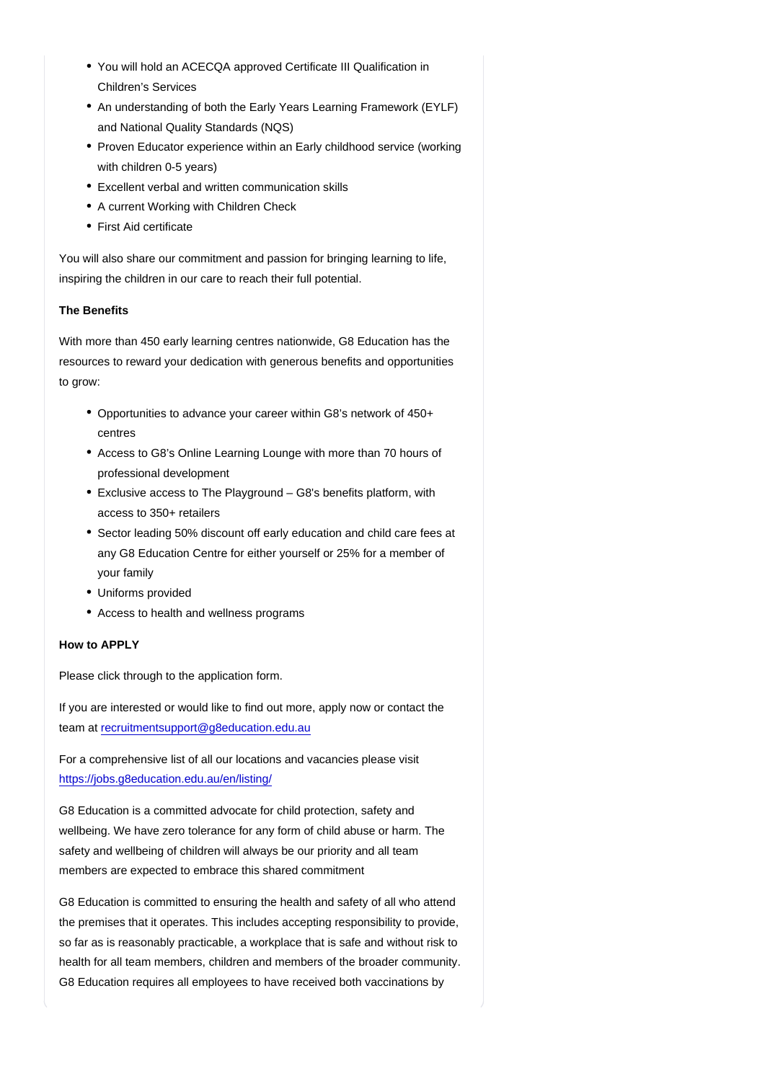- You will hold an ACECQA approved Certificate III Qualification in Children's Services
- An understanding of both the Early Years Learning Framework (EYLF) and National Quality Standards (NQS)
- Proven Educator experience within an Early childhood service (working with children 0-5 years)
- Excellent verbal and written communication skills
- A current Working with Children Check
- First Aid certificate

You will also share our commitment and passion for bringing learning to life, inspiring the children in our care to reach their full potential.

## The Benefits

With more than 450 early learning centres nationwide, G8 Education has the resources to reward your dedication with generous benefits and opportunities to grow:

- Opportunities to advance your career within G8's network of 450+ centres
- Access to G8's Online Learning Lounge with more than 70 hours of professional development
- Exclusive access to The Playground G8's benefits platform, with access to 350+ retailers
- Sector leading 50% discount off early education and child care fees at any G8 Education Centre for either yourself or 25% for a member of your family
- Uniforms provided
- Access to health and wellness programs

## How to APPLY

Please click through to the application form.

If you are interested or would like to find out more, apply now or contact the team at [recruitmentsupport@g8education.edu.au](mailto:recruitmentsupport@g8education.edu.au)

For a comprehensive list of all our locations and vacancies please visit <https://jobs.g8education.edu.au/en/listing/>

G8 Education is a committed advocate for child protection, safety and wellbeing. We have zero tolerance for any form of child abuse or harm. The safety and wellbeing of children will always be our priority and all team members are expected to embrace this shared commitment

G8 Education is committed to ensuring the health and safety of all who attend the premises that it operates. This includes accepting responsibility to provide, so far as is reasonably practicable, a workplace that is safe and without risk to health for all team members, children and members of the broader community. G8 Education requires all employees to have received both vaccinations by